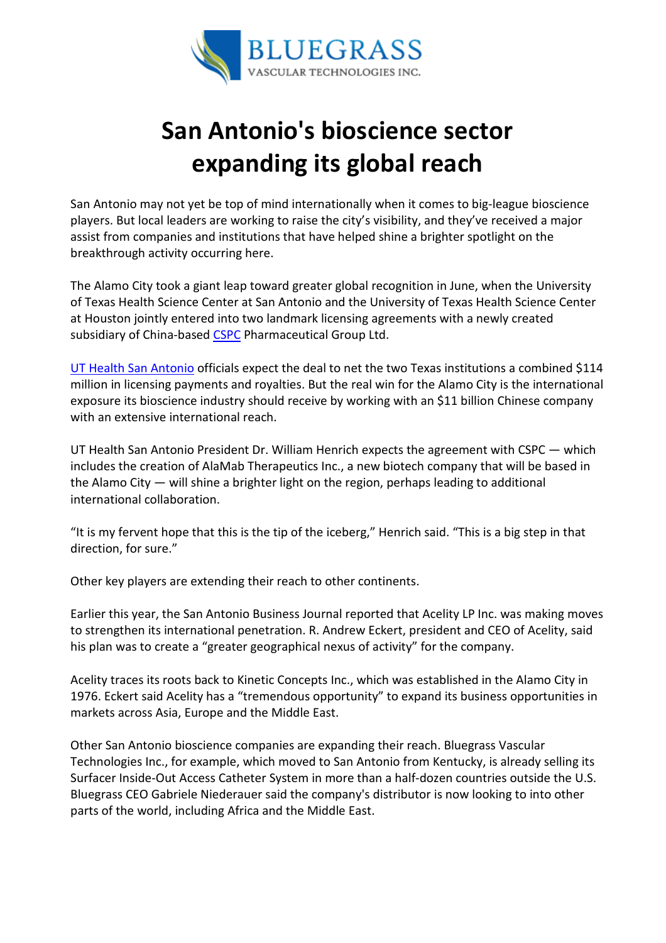

## San Antonio's bioscience sector expanding its global reach

San Antonio may not yet be top of mind internationally when it comes to big-league bioscience players. But local leaders are working to raise the city's visibility, and they've received a major assist from companies and institutions that have helped shine a brighter spotlight on the breakthrough activity occurring here.

The Alamo City took a giant leap toward greater global recognition in June, when the University of Texas Health Science Center at San Antonio and the University of Texas Health Science Center at Houston jointly entered into two landmark licensing agreements with a newly created subsidiary of China-based CSPC Pharmaceutical Group Ltd.

UT Health San Antonio officials expect the deal to net the two Texas institutions a combined \$114 million in licensing payments and royalties. But the real win for the Alamo City is the international exposure its bioscience industry should receive by working with an \$11 billion Chinese company with an extensive international reach.

UT Health San Antonio President Dr. William Henrich expects the agreement with CSPC — which includes the creation of AlaMab Therapeutics Inc., a new biotech company that will be based in the Alamo City — will shine a brighter light on the region, perhaps leading to additional international collaboration.

"It is my fervent hope that this is the tip of the iceberg," Henrich said. "This is a big step in that direction, for sure."

Other key players are extending their reach to other continents.

Earlier this year, the San Antonio Business Journal reported that Acelity LP Inc. was making moves to strengthen its international penetration. R. Andrew Eckert, president and CEO of Acelity, said his plan was to create a "greater geographical nexus of activity" for the company.

Acelity traces its roots back to Kinetic Concepts Inc., which was established in the Alamo City in 1976. Eckert said Acelity has a "tremendous opportunity" to expand its business opportunities in markets across Asia, Europe and the Middle East.

Other San Antonio bioscience companies are expanding their reach. Bluegrass Vascular Technologies Inc., for example, which moved to San Antonio from Kentucky, is already selling its Surfacer Inside-Out Access Catheter System in more than a half-dozen countries outside the U.S. Bluegrass CEO Gabriele Niederauer said the company's distributor is now looking to into other parts of the world, including Africa and the Middle East.